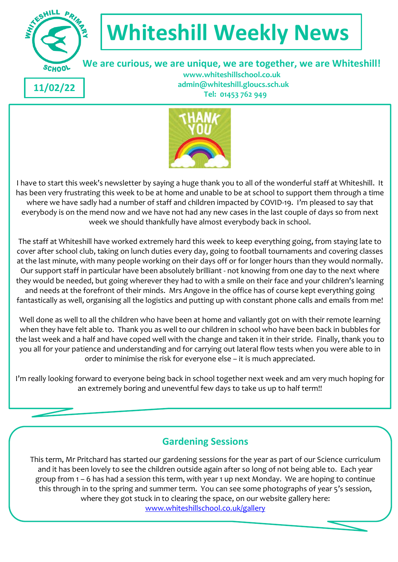

# **Whiteshill Weekly News**

 **We are curious, we are unique, we are together, we are Whiteshill!**

**11/02/22**

 **www.whiteshillschool.co.uk admin@whiteshill.gloucs.sch.uk Tel: 01453 762 949**



I have to start this week's newsletter by saying a huge thank you to all of the wonderful staff at Whiteshill. It has been very frustrating this week to be at home and unable to be at school to support them through a time where we have sadly had a number of staff and children impacted by COVID-19. I'm pleased to say that everybody is on the mend now and we have not had any new cases in the last couple of days so from next week we should thankfully have almost everybody back in school.

The staff at Whiteshill have worked extremely hard this week to keep everything going, from staying late to cover after school club, taking on lunch duties every day, going to football tournaments and covering classes at the last minute, with many people working on their days off or for longer hours than they would normally. Our support staff in particular have been absolutely brilliant - not knowing from one day to the next where they would be needed, but going wherever they had to with a smile on their face and your children's learning and needs at the forefront of their minds. Mrs Angove in the office has of course kept everything going fantastically as well, organising all the logistics and putting up with constant phone calls and emails from me!

Well done as well to all the children who have been at home and valiantly got on with their remote learning when they have felt able to. Thank you as well to our children in school who have been back in bubbles for the last week and a half and have coped well with the change and taken it in their stride. Finally, thank you to you all for your patience and understanding and for carrying out lateral flow tests when you were able to in order to minimise the risk for everyone else – it is much appreciated.

I'm really looking forward to everyone being back in school together next week and am very much hoping for an extremely boring and uneventful few days to take us up to half term!!

# **Gardening Sessions**

This term, Mr Pritchard has started our gardening sessions for the year as part of our Science curriculum and it has been lovely to see the children outside again after so long of not being able to. Each year group from 1 – 6 has had a session this term, with year 1 up next Monday. We are hoping to continue this through in to the spring and summer term. You can see some photographs of year 5's session, where they got stuck in to clearing the space, on our website gallery here: [www.whiteshillschool.co.uk/gallery](http://www.whiteshillschool.co.uk/gallery)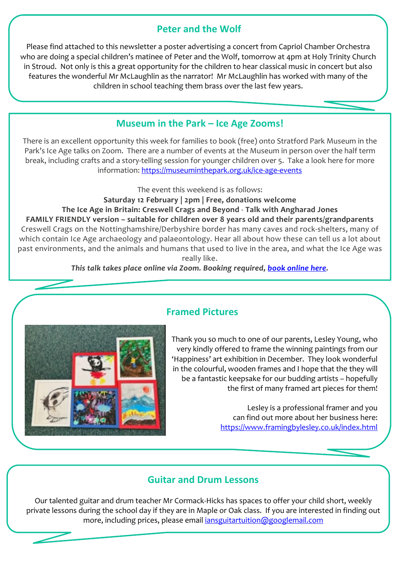## **Peter and the Wolf**

Please find attached to this newsletter a poster advertising a concert from Capriol Chamber Orchestra who are doing a special children's matinee of Peter and the Wolf, tomorrow at 4pm at Holy Trinity Church in Stroud. Not only is this a great opportunity for the children to hear classical music in concert but also features the wonderful Mr McLaughlin as the narrator! Mr McLaughlin has worked with many of the children in school teaching them brass over the last few years.

## **Museum in the Park – Ice Age Zooms!**

There is an excellent opportunity this week for families to book (free) onto Stratford Park Museum in the Park's Ice Age talks on Zoom. There are a number of events at the Museum in person over the half term break, including crafts and a story-telling session for younger children over 5. Take a look here for more information: <https://museuminthepark.org.uk/ice-age-events>

The event this weekend is as follows:

**Saturday 12 February | 2pm | Free, donations welcome**

#### **The Ice Age in Britain: Creswell Crags and Beyond** - **Talk with Angharad Jones**

**FAMILY FRIENDLY version – suitable for children over 8 years old and their parents/grandparents** Creswell Crags on the Nottinghamshire/Derbyshire border has many caves and rock-shelters, many of which contain Ice Age archaeology and palaeontology. Hear all about how these can tell us a lot about past environments, and the animals and humans that used to live in the area, and what the Ice Age was really like.

*This talk takes place online via Zoom. Booking required, book [online](https://www.ticketsource.co.uk/booking/t-jexeaj) here.*



## **Framed Pictures**

Thank you so much to one of our parents, Lesley Young, who very kindly offered to frame the winning paintings from our 'Happiness' art exhibition in December. They look wonderful in the colourful, wooden frames and I hope that the they will be a fantastic keepsake for our budding artists – hopefully the first of many framed art pieces for them!

> Lesley is a professional framer and you can find out more about her business here: <https://www.framingbylesley.co.uk/index.html>

### **Guitar and Drum Lessons**

Our talented guitar and drum teacher Mr Cormack-Hicks has spaces to offer your child short, weekly private lessons during the school day if they are in Maple or Oak class. If you are interested in finding out more, including prices, please email *iansguitartuition@googlemail.com*